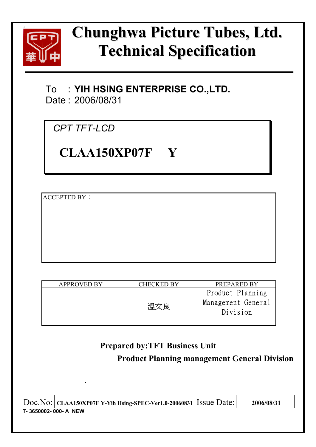

# **Chunghwa Picture Tubes, Ltd. Technical Specification**

To : **YIH HSING ENTERPRISE CO.,LTD.**  Date : 2006/08/31

*CPT TFT-LCD* 

**.** 

**CLAA150XP07F Y** 

**ACCEPTED BY:** 

| <b>APPROVED BY</b> | CHECKED BY | <b>PREPARED BY</b>                                 |
|--------------------|------------|----------------------------------------------------|
|                    | 溫文良        | Product Planning<br>Management General<br>Division |
|                    |            |                                                    |

# **Prepared by:TFT Business Unit**

## **Product Planning management General Division**

| $ Doc\rangle$ Ooc. No: $ ័$ CLAA150XP07F Y-Yih Hsing-SPEC-Ver1.0-20060831 Issue Date: |  | 2006/08/31 |  |  |  |
|---------------------------------------------------------------------------------------|--|------------|--|--|--|
| T-3650002-000-A NEW                                                                   |  |            |  |  |  |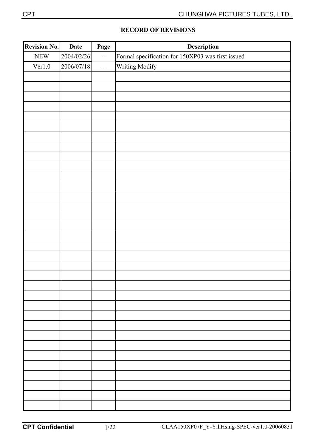|  | <b>RECORD OF REVISIONS</b> |
|--|----------------------------|
|  |                            |

| <b>Revision No.</b> | <b>Date</b> | Page                                          | Description                                       |
|---------------------|-------------|-----------------------------------------------|---------------------------------------------------|
| ${\rm NEW}$         | 2004/02/26  | $\equiv$                                      | Formal specification for 150XP03 was first issued |
| Ver1.0              | 2006/07/18  | $\mathord{\hspace{1pt}\text{--}\hspace{1pt}}$ | Writing Modify                                    |
|                     |             |                                               |                                                   |
|                     |             |                                               |                                                   |
|                     |             |                                               |                                                   |
|                     |             |                                               |                                                   |
|                     |             |                                               |                                                   |
|                     |             |                                               |                                                   |
|                     |             |                                               |                                                   |
|                     |             |                                               |                                                   |
|                     |             |                                               |                                                   |
|                     |             |                                               |                                                   |
|                     |             |                                               |                                                   |
|                     |             |                                               |                                                   |
|                     |             |                                               |                                                   |
|                     |             |                                               |                                                   |
|                     |             |                                               |                                                   |
|                     |             |                                               |                                                   |
|                     |             |                                               |                                                   |
|                     |             |                                               |                                                   |
|                     |             |                                               |                                                   |
|                     |             |                                               |                                                   |
|                     |             |                                               |                                                   |
|                     |             |                                               |                                                   |
|                     |             |                                               |                                                   |
|                     |             |                                               |                                                   |
|                     |             |                                               |                                                   |
|                     |             |                                               |                                                   |
|                     |             |                                               |                                                   |
|                     |             |                                               |                                                   |
|                     |             |                                               |                                                   |
|                     |             |                                               |                                                   |
|                     |             |                                               |                                                   |
|                     |             |                                               |                                                   |
|                     |             |                                               |                                                   |
|                     |             |                                               |                                                   |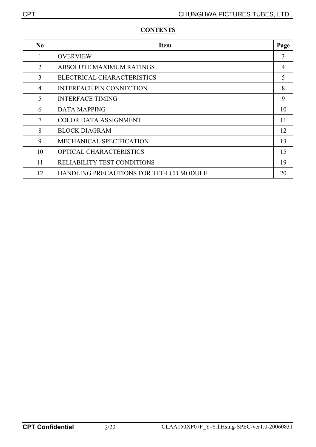| N <sub>0</sub> | <b>Item</b>                             | Page           |
|----------------|-----------------------------------------|----------------|
| 1              | <b>OVERVIEW</b>                         | 3              |
| $\overline{2}$ | <b>ABSOLUTE MAXIMUM RATINGS</b>         | $\overline{4}$ |
| 3              | ELECTRICAL CHARACTERISTICS              | 5              |
| $\overline{4}$ | <b>INTERFACE PIN CONNECTION</b>         | 8              |
| 5              | <b>INTERFACE TIMING</b>                 | 9              |
| 6              | <b>DATA MAPPING</b>                     | 10             |
| 7              | <b>COLOR DATA ASSIGNMENT</b>            | 11             |
| 8              | <b>BLOCK DIAGRAM</b>                    | 12             |
| 9              | <b>MECHANICAL SPECIFICATION</b>         | 13             |
| 10             | <b>OPTICAL CHARACTERISTICS</b>          | 15             |
| 11             | <b>RELIABILITY TEST CONDITIONS</b>      | 19             |
| 12             | HANDLING PRECAUTIONS FOR TFT-LCD MODULE | 20             |

### **CONTENTS**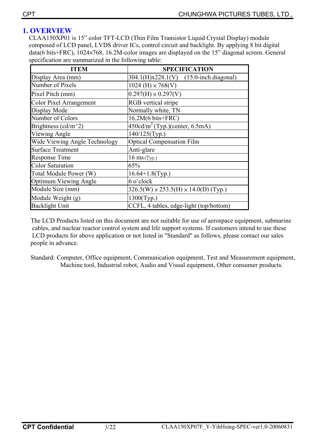### **1. OVERVIEW**

CLAA150XP01 is 15" color TFT-LCD (Thin Film Transistor Liquid Crystal Display) module composed of LCD panel, LVDS driver ICs, control circuit and backlight. By applying 8 bit digital data(6 bits+FRC), 1024×768, 16.2M-color images are displayed on the 15" diagonal screen. General specification are summarized in the following table:

| <b>ITEM</b>                    | <b>SPECIFICATION</b>                             |
|--------------------------------|--------------------------------------------------|
| Display Area (mm)              | $[304.1(H)x228.1(V)$ (15.0-inch diagonal)        |
| Number of Pixels               | $1024$ (H) $\times 768$ (V)                      |
| Pixel Pitch (mm)               | $0.297(H) \times 0.297(V)$                       |
| <b>Color Pixel Arrangement</b> | <b>RGB</b> vertical stripe                       |
| Display Mode                   | Normally white, TN                               |
| Number of Colors               | $16.2M(6 \text{ bits+FRC})$                      |
| Brightness (cd/m^2)            | $450 \text{cd/m}^2$ (Typ.)(center, 6.5mA)        |
| Viewing Angle                  | $140/125$ (Typ.)                                 |
| Wide Viewing Angle Technology  | <b>Optical Compensation Film</b>                 |
| <b>Surface Treatment</b>       | Anti-glare                                       |
| <b>Response Time</b>           | $16$ ms (Typ.)                                   |
| <b>Color Saturation</b>        | 65%                                              |
| Total Module Power (W)         | $16.64+1.8$ (Typ.)                               |
| <b>Optimum Viewing Angle</b>   | 6 o'clock                                        |
| Module Size (mm)               | $326.5(W) \times 253.5(H) \times 14.0(D)$ (Typ.) |
| Module Weight (g)              | $1300$ (Typ.)                                    |
| <b>Backlight Unit</b>          | CCFL, 4 tables, edge-light (top/bottom)          |

The LCD Products listed on this document are not suitable for use of aerospace equipment, submarine cables, and nuclear reactor control system and life support systems. If customers intend to use these LCD products for above application or not listed in "Standard" as follows, please contact our sales people in advance.

Standard: Computer, Office equipment, Communication equipment, Test and Measurement equipment, Machine tool, Industrial robot, Audio and Visual equipment, Other consumer products.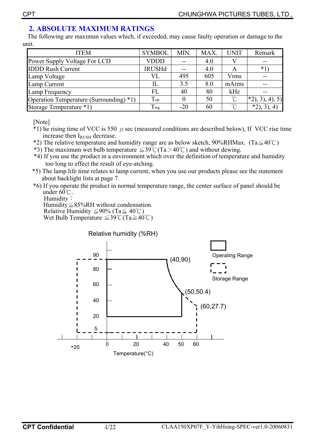### **2. ABSOLUTE MAXIMUM RATINGS**

 The following are maximun values which, if exceeded, may cause faulty operation or damage to the unit.

| <b>ITEM</b>                             | <b>SYMBOL</b>  | MIN.  | MAX. | <b>UNIT</b>         | Remark        |
|-----------------------------------------|----------------|-------|------|---------------------|---------------|
| Power Supply Voltage For LCD            | <b>VDDD</b>    | $- -$ | 4.0  |                     | --            |
| <b>IDDD Rush Current</b>                | <b>IRUSHd</b>  |       | 4.0  | A                   | $*1$          |
| Lamp Voltage                            | VL             | 495   | 605  | Vrms                |               |
| Lamp Current                            |                | 3.5   | 8.0  | mArms               |               |
| Lamp Frequency                          | FL             | 40    | 80   | kHz                 |               |
| Operation Temperature (Surrounding) *1) | Top            |       | 50   | $^{\circ}C$         | $*2, 3, 4, 5$ |
| Storage Temperature *1)                 | $T_{\rm{stg}}$ | $-20$ | 60   | $\int_{0}^{\infty}$ | $*2, 3, 3$    |

[Note]

- $*1$ ) he rising time of VCC is 550  $\mu$  sec (measured conditions are described below), If VCC rise time increase then IRUSH decrease.
- \*2) The relative temperature and humidity range are as below sketch, 90%RHMax. (Ta $\leq 40^{\circ}$ C)
- \*3) The maximum wet bulb temperature  $\leq 39^{\circ}$ C(Ta $> 40^{\circ}$ C) and without dewing.
- \*4) If you use the product in a environment which over the definition of temperature and humidity too long to effect the result of eye-atching.
- \*5) The lamp life time relates to lamp current, when you use our products please see the statement about backlight lists at page 7.
- \*6) If you operate the product in normal temperature range, the center surface of panel should be under  $60^{\circ}$ C.

Humidity:

Humidity $\leq$ 85%RH without condensation. Relative Humidity  $\leq 90\%$  (Ta $\leq 40^{\circ}$ C) Wet Bulb Temperature  $\leq 39^{\circ}$ C (Ta $\geq 40^{\circ}$ C)

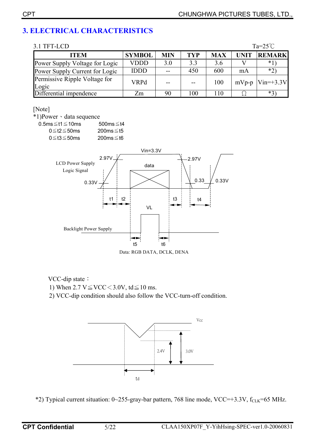### **3. ELECTRICAL CHARACTERISTICS**

| 3.1 TFT-LCD                            |               |            |            |            |             | $Ta=25^{\circ}C$ |
|----------------------------------------|---------------|------------|------------|------------|-------------|------------------|
| <b>ITEM</b>                            | <b>SYMBOL</b> | <b>MIN</b> | <b>TYP</b> | <b>MAX</b> | <b>UNIT</b> | <b>REMARK</b>    |
| Power Supply Voltage for Logic         | VDDD          | 3.0        | 3.3        | 3.6        |             | $*1$             |
| Power Supply Current for Logic         | <b>IDDD</b>   | $-$        | 450        | 600        | mA          | $*2)$            |
| Permissive Ripple Voltage for<br>Logic | <b>VRPd</b>   |            | $- -$      | 100        | $mVp-p$     | $Vin=+3.3V$      |
| Differential impendence                | Zm            | 90         | 100        | 110        |             | $*3)$            |

#### [Note]

\*1)Power · data sequence

0.5ms $≤t1≤10$ ms 500ms $≤t4$  0≦t2≦50ms 200ms≦t5 0≦t3≦50ms 200ms≦t6



Data: RGB DATA, DCLK, DENA

VCC-dip state:

1) When  $2.7 \text{ V} \leq \text{VCC} \leq 3.0 \text{V}$ , td $\leq 10 \text{ ms}$ .

2) VCC-dip condition should also follow the VCC-turn-off condition.



\*2) Typical current situation:  $0 \sim 255$ -gray-bar pattern, 768 line mode, VCC=+3.3V, f<sub>CLK</sub>=65 MHz.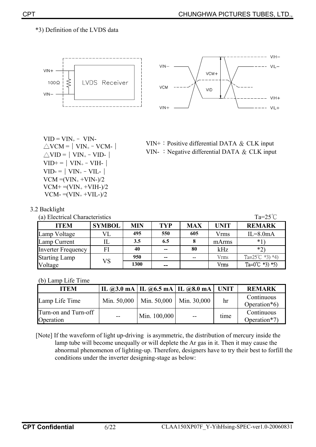#### \*3) Definition of the LVDS data





 $VID = VIN_{+} - VIN_{-}$  $\triangle$ VID =  $\vert$  VIN<sub>+</sub> – VID- $\vert$  $VID+=|VIN_{+}-VIH_{-}|$  $VID = |VIN_{+} - VIL_{-}|$  $VCM = (VIN_+ + VIN_-)/2$  $VCM+=(VIN_{+}+VIH_{-})/2$  $VCM = (VIN_{+} + VIL_{-})/2$ 



|  | 3.2 Backlight |
|--|---------------|

(a) Electrical Characteristics  $Ta=25^{\circ}C$ 

| <b>ITEM</b>               | <b>SYMBOL</b> | MIN  | <b>TYP</b> | <b>MAX</b> | UNIT  | <b>REMARK</b>              |
|---------------------------|---------------|------|------------|------------|-------|----------------------------|
| Lamp Voltage              |               | 495  | 550        | 605        | Vrms  | $IL = 8.0mA$               |
| Lamp Current              |               | 3.5  | 6.5        |            | mArms | $*1$                       |
| <b>Inverter Frequency</b> | FI            | 40   | $- -$      | 80         | kHz   | $*$ ?                      |
| <b>Starting Lamp</b>      | VS            | 950  | $- -$      |            | Vrms  | Ta= $25^{\circ}$ C *3) *4) |
| Voltage                   |               | 1300 | --         |            | Vrms  | Ta= $0^{\circ}$ C *3) *5)  |

#### (b) Lamp Life Time

| <b>ITEM</b>                       |       |                               | IL @3.0 mA   IL @6.5 mA   IL @8.0 mA   UNIT |      | <b>REMARK</b>              |
|-----------------------------------|-------|-------------------------------|---------------------------------------------|------|----------------------------|
| Lamp Life Time                    |       | Min. $50,000$   Min. $50,000$ | Min. 30,000                                 | hr   | Continuous<br>Operation*6) |
| Turn-on and Turn-off<br>Operation | $- -$ | Min. $100,000$                | $- -$                                       | time | Continuous<br>Operation*7) |

[Note] If the waveform of light up-driving is asymmetric, the distribution of mercury inside the lamp tube will become unequally or will deplete the Ar gas in it. Then it may cause the abnormal phenomenon of lighting-up. Therefore, designers have to try their best to forfill the conditions under the inverter designing-stage as below: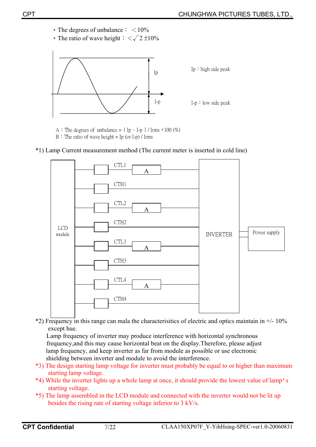- The degrees of unbalance  $\frac{1}{2}$  < 10%
- The ratio of wave height  $\frac{1}{5} < \sqrt{2} \pm 10\%$



A : The degrees of unbalance =  $|$  Ip – I-p  $|$  / Irms  $\times$ 100 (%)

 $B \div$  The ratio of wave height = Ip (or I-p) / Irms





 $*2$ ) Frequency in this range can mala the characterisitics of electric and optics maintain in  $+/-10\%$ except hue.

Lamp frequency of inverter may produce interference with horizontal synchronous frequency,and this may cause horizontal beat on the display.Therefore, please adjust lamp frequency, and keep inverter as far from module as possible or use electronic shielding between inverter and module to avoid the interference.

- \*3) The design starting lamp voltage for inverter must probably be equal to or higher than maximum starting lamp voltage.
- \*4) While the inverter lights up a whole lamp at once, it should provide the lowest value of lamp's starting voltage.
- \*5) The lamp assembled in the LCD module and connected with the inverter would not be lit up besides the rising rate of starting voltage inferior to 3 kV/s.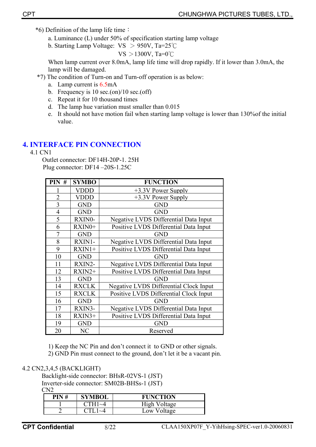- $*6$ ) Definition of the lamp life time :
	- a. Luminance (L) under 50% of specification starting lamp voltage
	- b. Starting Lamp Voltage:  $VS > 950V$ , Ta=25°C

$$
VS > 1300V, Ta=0°C
$$

When lamp current over 8.0mA, lamp life time will drop rapidly. If it lower than 3.0mA, the lamp will be damaged.

- \*7) The condition of Turn-on and Turn-off operation is as below:
	- a. Lamp current is 6.5mA
	- b. Frequency is  $10 \text{ sec.}$ (on)/ $10 \text{ sec.}$ (off)
	- c. Repeat it for 10 thousand times
	- d. The lamp hue variation must smaller than 0.015
	- e. It should not have motion fail when starting lamp voltage is lower than 130%of the initial value.

### **4. INTERFACE PIN CONNECTION**

4.1 CN1

Outlet connector: DF14H-20P-1. 25H Plug connector: DF14 –20S-1.25C

| PIN#           | <b>SYMBO</b> | <b>FUNCTION</b>                        |
|----------------|--------------|----------------------------------------|
|                | VDDD         | $+3.3V$ Power Supply                   |
| $\overline{2}$ | VDDD         | +3.3V Power Supply                     |
| 3              | <b>GND</b>   | <b>GND</b>                             |
| $\overline{4}$ | <b>GND</b>   | <b>GND</b>                             |
| 5              | RXIN0-       | Negative LVDS Differential Data Input  |
| 6              | RXIN0+       | Positive LVDS Differential Data Input  |
| $\overline{7}$ | <b>GND</b>   | <b>GND</b>                             |
| 8              | RXIN1-       | Negative LVDS Differential Data Input  |
| 9              | $RXIN1+$     | Positive LVDS Differential Data Input  |
| 10             | <b>GND</b>   | <b>GND</b>                             |
| 11             | RXIN2-       | Negative LVDS Differential Data Input  |
| 12             | $RXIN2+$     | Positive LVDS Differential Data Input  |
| 13             | <b>GND</b>   | <b>GND</b>                             |
| 14             | <b>RXCLK</b> | Negative LVDS Differential Clock Input |
| 15             | <b>RXCLK</b> | Positive LVDS Differential Clock Input |
| 16             | <b>GND</b>   | <b>GND</b>                             |
| 17             | RXIN3-       | Negative LVDS Differential Data Input  |
| 18             | $RXIN3+$     | Positive LVDS Differential Data Input  |
| 19             | <b>GND</b>   | <b>GND</b>                             |
| 20             | NC           | Reserved                               |

1) Keep the NC Pin and don't connect it to GND or other signals.

2) GND Pin must connect to the ground, don't let it be a vacant pin.

### 4.2 CN2,3,4,5 (BACKLIGHT)

Backlight-side connector: BHsR-02VS-1 (JST) Inverter-side connector: SM02B-BHSs-1 (JST)  $C<sub>N2</sub>$ 

| PIN# | <b>SYMBOL</b> | <b>FUNCTION</b> |
|------|---------------|-----------------|
|      |               | High Voltage    |
|      |               | Low Voltage     |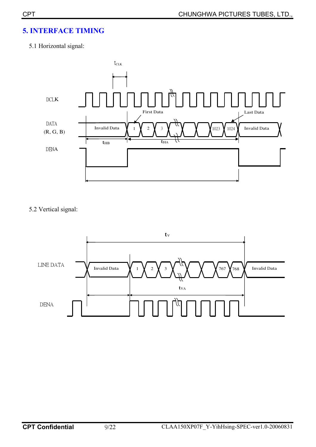### **5. INTERFACE TIMING**

### 5.1 Horizontal signal:



5.2 Vertical signal:

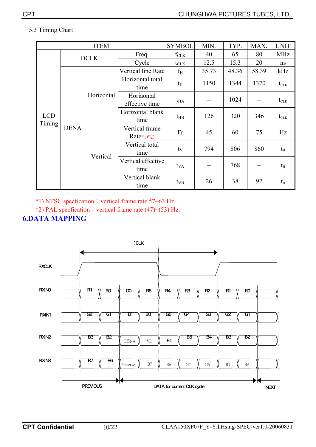### 5.3 Timing Chart

|                                     |            | <b>ITEM</b>                    |                            | <b>SYMBOL</b>    | MIN.  | TYP.  | MAX.                                 | <b>UNIT</b> |
|-------------------------------------|------------|--------------------------------|----------------------------|------------------|-------|-------|--------------------------------------|-------------|
|                                     |            | <b>DCLK</b>                    | Freq.                      | $f_{CLK}$        | 40    | 65    | 80                                   | <b>MHz</b>  |
|                                     |            |                                | Cycle                      | $t_{\text{CLK}}$ | 12.5  | 15.3  | 20                                   | ns          |
|                                     |            |                                | Vertical line Rate         | $f_{\rm H}$      | 35.73 | 48.36 | 58.39                                | kHz         |
| <b>LCD</b><br>Timing<br><b>DENA</b> | Horizontal | Horizontal total<br>time       | $t_{\rm H}$                | 1150             | 1344  | 1370  | $t_{\scriptscriptstyle{\text{CLK}}}$ |             |
|                                     |            | Horiaontal<br>effective time   | $t_{HA}$                   |                  | 1024  |       | $t_{\scriptscriptstyle{\text{CLK}}}$ |             |
|                                     |            | Horizontal blank<br>time       | $t_{HB}$                   | 126              | 320   | 346   | $t_{\scriptscriptstyle{\text{CLK}}}$ |             |
|                                     |            | Vertical frame<br>$Rate*1)*2)$ | Fr                         | 45               | 60    | 75    | Hz                                   |             |
|                                     |            | Vertical total<br>time         | $t_V$                      | 794              | 806   | 860   | $t_H$                                |             |
|                                     |            | Vertical                       | Vertical effective<br>time | $t_{VA}$         |       | 768   |                                      | $t_{\rm H}$ |
|                                     |            |                                | Vertical blank<br>time     | $t_{VB}$         | 26    | 38    | 92                                   | $t_H$       |

 $*1)$  NTSC specfication: vertical frame rate 57~63 Hz.

\*2) PAL specfication: vertical frame rate (47)~(53) Hz.

### **6.DATA MAPPING**

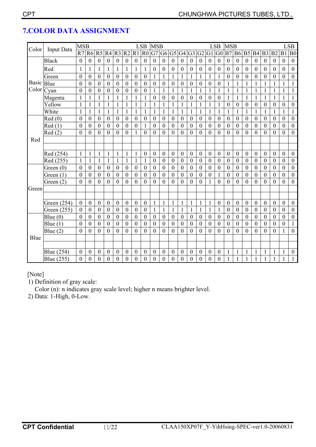|              |                   | <b>MSB</b>       |                  |                  |                  |                  |                  |                  | <b>LSB</b>       | <b>MSB</b>       |                  |                  |                  |                  |                  |                  | <b>LSB</b>       | <b>MSB</b>       |                  |                  |                  |                  |                  |                  | <b>LSB</b>       |
|--------------|-------------------|------------------|------------------|------------------|------------------|------------------|------------------|------------------|------------------|------------------|------------------|------------------|------------------|------------------|------------------|------------------|------------------|------------------|------------------|------------------|------------------|------------------|------------------|------------------|------------------|
| Color        | <b>Input Data</b> | R7               |                  | <b>R6 R5</b>     | R4               | R <sub>3</sub>   | R <sub>2</sub>   | R1               | R <sub>0</sub>   | G7               | G <sub>6</sub>   |                  | G5 G4            | G <sub>3</sub>   | G2               | G1               | G <sub>0</sub>   | B7               | <b>B6</b>        | B <sub>5</sub>   | <b>B4</b>        | B <sub>3</sub>   | B <sub>2</sub>   | B <sub>1</sub>   | B <sub>0</sub>   |
|              | <b>Black</b>      | $\boldsymbol{0}$ | $\boldsymbol{0}$ | $\boldsymbol{0}$ | $\boldsymbol{0}$ | $\mathbf{0}$     | $\mathbf{0}$     | $\boldsymbol{0}$ | $\mathbf{0}$     | $\boldsymbol{0}$ | $\boldsymbol{0}$ | $\boldsymbol{0}$ | $\mathbf{0}$     | $\boldsymbol{0}$ | $\boldsymbol{0}$ | $\boldsymbol{0}$ | $\mathbf{0}$     | $\boldsymbol{0}$ | $\mathbf{0}$     | $\mathbf{0}$     | $\boldsymbol{0}$ | $\boldsymbol{0}$ | $\boldsymbol{0}$ | $\boldsymbol{0}$ | $\boldsymbol{0}$ |
|              | Red               | 1                | 1                | 1                | 1                | 1                |                  | 1                | 1                | $\mathbf{0}$     | $\boldsymbol{0}$ | $\boldsymbol{0}$ | $\boldsymbol{0}$ | $\boldsymbol{0}$ | $\boldsymbol{0}$ | $\mathbf{0}$     | $\boldsymbol{0}$ | $\boldsymbol{0}$ | $\boldsymbol{0}$ | $\boldsymbol{0}$ | $\boldsymbol{0}$ | $\boldsymbol{0}$ | $\boldsymbol{0}$ | $\boldsymbol{0}$ | $\boldsymbol{0}$ |
|              | Green             | $\boldsymbol{0}$ | $\boldsymbol{0}$ | $\boldsymbol{0}$ | $\mathbf{0}$     | $\mathbf{0}$     | $\boldsymbol{0}$ | $\boldsymbol{0}$ | $\boldsymbol{0}$ | $\mathbf{1}$     | 1                | $\mathbf{1}$     | 1                | $\mathbf{1}$     | 1                | $\mathbf{1}$     | 1                | $\overline{0}$   | $\boldsymbol{0}$ | $\theta$         | $\theta$         | $\theta$         | $\mathbf{0}$     | $\theta$         | $\boldsymbol{0}$ |
| <b>Basic</b> | Blue              | $\boldsymbol{0}$ | $\overline{0}$   | $\boldsymbol{0}$ | $\boldsymbol{0}$ | $\boldsymbol{0}$ | $\boldsymbol{0}$ | $\boldsymbol{0}$ | $\boldsymbol{0}$ | $\overline{0}$   | $\mathbf{0}$     | $\overline{0}$   | $\boldsymbol{0}$ | $\boldsymbol{0}$ | $\boldsymbol{0}$ | $\overline{0}$   | $\boldsymbol{0}$ | 1                | 1                |                  | 1                | 1                | 1                |                  | $\mathbf{1}$     |
| Color        | Cyan              | $\overline{0}$   | $\overline{0}$   | $\overline{0}$   | $\overline{0}$   | $\mathbf{0}$     | $\overline{0}$   | $\boldsymbol{0}$ | $\mathbf{0}$     | $\mathbf{1}$     | $\mathbf{1}$     | $\mathbf{1}$     | $\mathbf{1}$     | $\mathbf{1}$     | $\mathbf{1}$     | $\mathbf{1}$     | $\mathbf{1}$     | $\mathbf{1}$     | $\mathbf{1}$     | 1                | $\mathbf{1}$     | 1                | $\mathbf{1}$     | $\mathbf{1}$     | $\mathbf{1}$     |
|              | Magenta           | 1                | $\mathbf{1}$     | 1                | $\mathbf{1}$     | 1                |                  | 1                |                  | $\theta$         | 0                | $\boldsymbol{0}$ | $\theta$         | $\overline{0}$   | $\boldsymbol{0}$ | $\mathbf{0}$     | $\boldsymbol{0}$ | 1                | $\mathbf{1}$     |                  | 1                | 1                | 1                |                  | 1                |
|              | Yellow            | $\mathbf{1}$     | $\mathbf{1}$     | $\mathbf{1}$     | $\mathbf{1}$     | $\mathbf{1}$     | 1                | $\mathbf{1}$     |                  | 1                | 1                | $\mathbf{1}$     | $\mathbf{1}$     | $\mathbf{1}$     | $\mathbf{1}$     | $\mathbf{1}$     | $\mathbf{1}$     | $\boldsymbol{0}$ | $\boldsymbol{0}$ | $\boldsymbol{0}$ | $\boldsymbol{0}$ | $\boldsymbol{0}$ | $\boldsymbol{0}$ | $\boldsymbol{0}$ | $\boldsymbol{0}$ |
|              | White             | $\mathbf{1}$     | $\mathbf{1}$     | 1                | 1                | $\mathbf{1}$     | 1                | $\mathbf{1}$     | 1                | $\mathbf{1}$     | 1                | $\mathbf{1}$     | $\mathbf{1}$     | $\mathbf{1}$     | 1                | $\mathbf{1}$     | $\mathbf{1}$     | $\mathbf{1}$     | $\mathbf{1}$     | 1                | $\mathbf{1}$     | 1                | 1                | 1                | $\mathbf{1}$     |
|              | Red(0)            | $\mathbf{0}$     | $\overline{0}$   | $\overline{0}$   | $\theta$         | $\boldsymbol{0}$ | $\theta$         | $\boldsymbol{0}$ | $\mathbf{0}$     | $\theta$         | 0                | $\boldsymbol{0}$ | $\theta$         | $\mathbf{0}$     | $\boldsymbol{0}$ | $\mathbf{0}$     | $\mathbf{0}$     | $\overline{0}$   | $\boldsymbol{0}$ | $\theta$         | $\mathbf{0}$     | $\theta$         | $\mathbf{0}$     | $\theta$         | $\boldsymbol{0}$ |
|              | Red(1)            | $\boldsymbol{0}$ | $\boldsymbol{0}$ | $\boldsymbol{0}$ | $\boldsymbol{0}$ | $\boldsymbol{0}$ | $\boldsymbol{0}$ | $\boldsymbol{0}$ | 1                | $\boldsymbol{0}$ | $\boldsymbol{0}$ | $\boldsymbol{0}$ | $\boldsymbol{0}$ | $\boldsymbol{0}$ | $\boldsymbol{0}$ | $\boldsymbol{0}$ | $\boldsymbol{0}$ | $\boldsymbol{0}$ | $\boldsymbol{0}$ | $\boldsymbol{0}$ | $\boldsymbol{0}$ | $\boldsymbol{0}$ | $\boldsymbol{0}$ | $\boldsymbol{0}$ | $\boldsymbol{0}$ |
|              | Red(2)            | $\overline{0}$   | $\overline{0}$   | $\overline{0}$   | $\overline{0}$   | $\mathbf{0}$     | $\mathbf{0}$     | $\mathbf{1}$     | $\overline{0}$   | $\theta$         | $\overline{0}$   | $\theta$         | $\overline{0}$   | $\overline{0}$   | $\mathbf{0}$     | $\overline{0}$   | $\overline{0}$   | $\overline{0}$   | $\mathbf{0}$     | $\mathbf{0}$     | $\overline{0}$   | $\mathbf{0}$     | $\theta$         | $\mathbf{0}$     | $\boldsymbol{0}$ |
| Red          |                   |                  |                  |                  |                  |                  |                  |                  |                  |                  |                  |                  |                  |                  |                  |                  |                  |                  |                  |                  |                  |                  |                  |                  |                  |
|              |                   |                  |                  |                  |                  |                  |                  |                  |                  |                  |                  |                  |                  |                  |                  |                  |                  |                  |                  |                  |                  |                  |                  |                  |                  |
|              | Red (254)         | $\mathbf{1}$     | $\mathbf{1}$     | 1                | 1                | $\mathbf{1}$     | 1                | $\mathbf{1}$     | $\boldsymbol{0}$ | $\boldsymbol{0}$ | $\boldsymbol{0}$ | $\boldsymbol{0}$ | $\boldsymbol{0}$ | $\boldsymbol{0}$ | $\boldsymbol{0}$ | $\boldsymbol{0}$ | $\boldsymbol{0}$ | $\boldsymbol{0}$ | $\mathbf{0}$     | $\boldsymbol{0}$ | $\boldsymbol{0}$ | $\boldsymbol{0}$ | $\boldsymbol{0}$ | $\boldsymbol{0}$ | $\boldsymbol{0}$ |
|              | Red (255)         | 1                | $\mathbf{1}$     | 1                | $\mathbf{1}$     | $\mathbf{1}$     |                  | $\mathbf{1}$     |                  | $\mathbf{0}$     | $\mathbf{0}$     | $\boldsymbol{0}$ | $\boldsymbol{0}$ | $\boldsymbol{0}$ | $\boldsymbol{0}$ | $\overline{0}$   | $\overline{0}$   | $\boldsymbol{0}$ | $\boldsymbol{0}$ | $\boldsymbol{0}$ | $\mathbf{0}$     | $\mathbf{0}$     | $\mathbf{0}$     | $\mathbf{0}$     | $\boldsymbol{0}$ |
|              | Green $(0)$       | $\boldsymbol{0}$ | $\mathbf{0}$     | $\boldsymbol{0}$ | $\boldsymbol{0}$ | $\boldsymbol{0}$ | $\boldsymbol{0}$ | $\boldsymbol{0}$ | $\boldsymbol{0}$ | $\boldsymbol{0}$ | $\boldsymbol{0}$ | $\boldsymbol{0}$ | $\boldsymbol{0}$ | $\boldsymbol{0}$ | $\boldsymbol{0}$ | $\boldsymbol{0}$ | $\boldsymbol{0}$ | $\boldsymbol{0}$ | $\boldsymbol{0}$ | $\boldsymbol{0}$ | $\boldsymbol{0}$ | $\boldsymbol{0}$ | $\boldsymbol{0}$ | $\boldsymbol{0}$ | $\boldsymbol{0}$ |
|              | Green $(1)$       | $\mathbf{0}$     | $\boldsymbol{0}$ | $\boldsymbol{0}$ | $\boldsymbol{0}$ | $\boldsymbol{0}$ | $\boldsymbol{0}$ | $\boldsymbol{0}$ | $\boldsymbol{0}$ | $\overline{0}$   | 0                | $\boldsymbol{0}$ | $\boldsymbol{0}$ | $\boldsymbol{0}$ | $\boldsymbol{0}$ | $\overline{0}$   | 1                | $\boldsymbol{0}$ | $\boldsymbol{0}$ | $\boldsymbol{0}$ | $\boldsymbol{0}$ | $\boldsymbol{0}$ | $\boldsymbol{0}$ | $\boldsymbol{0}$ | $\boldsymbol{0}$ |
|              | Green $(2)$       | $\overline{0}$   | $\overline{0}$   | $\theta$         | $\Omega$         | $\theta$         | $\theta$         | $\overline{0}$   | $\boldsymbol{0}$ | $\theta$         | $\overline{0}$   | $\theta$         | $\theta$         | $\overline{0}$   | $\overline{0}$   | $\mathbf{1}$     | $\theta$         | $\theta$         | $\overline{0}$   | $\mathbf{0}$     | $\theta$         | $\mathbf{0}$     | $\theta$         | $\mathbf{0}$     | $\mathbf{0}$     |
| Green        |                   |                  |                  |                  |                  |                  |                  |                  |                  |                  |                  |                  |                  |                  |                  |                  |                  |                  |                  |                  |                  |                  |                  |                  |                  |
|              |                   |                  |                  |                  |                  |                  |                  |                  |                  |                  |                  |                  |                  |                  |                  |                  |                  |                  |                  |                  |                  |                  |                  |                  |                  |
|              | Green (254)       | $\boldsymbol{0}$ | $\boldsymbol{0}$ | $\boldsymbol{0}$ | $\boldsymbol{0}$ | $\boldsymbol{0}$ | $\boldsymbol{0}$ | $\boldsymbol{0}$ | $\boldsymbol{0}$ | $\mathbf{1}$     | 1                | $\mathbf{1}$     | $\mathbf{1}$     | $\mathbf{1}$     | $\mathbf{1}$     | $\mathbf{1}$     | $\boldsymbol{0}$ | $\boldsymbol{0}$ | $\boldsymbol{0}$ | $\boldsymbol{0}$ | $\boldsymbol{0}$ | $\boldsymbol{0}$ | $\boldsymbol{0}$ | $\mathbf{0}$     | $\boldsymbol{0}$ |
|              | Green (255)       | $\boldsymbol{0}$ | $\boldsymbol{0}$ | $\boldsymbol{0}$ | $\boldsymbol{0}$ | $\boldsymbol{0}$ | $\boldsymbol{0}$ | $\boldsymbol{0}$ | $\boldsymbol{0}$ | $\mathbf{1}$     | $\mathbf{1}$     | $\mathbf{1}$     | $\mathbf{1}$     | $\mathbf{1}$     |                  | $\mathbf{1}$     | $\mathbf{1}$     | $\boldsymbol{0}$ | $\boldsymbol{0}$ | $\boldsymbol{0}$ | $\boldsymbol{0}$ | $\boldsymbol{0}$ | $\mathbf{0}$     | $\mathbf{0}$     | $\boldsymbol{0}$ |
|              | Blue $(0)$        | $\boldsymbol{0}$ | $\overline{0}$   | $\boldsymbol{0}$ | $\boldsymbol{0}$ | $\mathbf{0}$     | $\boldsymbol{0}$ | $\boldsymbol{0}$ | $\boldsymbol{0}$ | $\theta$         | 0                | $\theta$         | $\boldsymbol{0}$ | $\boldsymbol{0}$ | $\boldsymbol{0}$ | $\overline{0}$   | $\boldsymbol{0}$ | $\boldsymbol{0}$ | $\boldsymbol{0}$ | $\boldsymbol{0}$ | $\boldsymbol{0}$ | $\boldsymbol{0}$ | $\theta$         | $\boldsymbol{0}$ | $\boldsymbol{0}$ |
|              | Blue $(1)$        | $\boldsymbol{0}$ | $\overline{0}$   | $\mathbf{0}$     | $\boldsymbol{0}$ | $\boldsymbol{0}$ | $\boldsymbol{0}$ | $\mathbf{0}$     | $\boldsymbol{0}$ | $\mathbf{0}$     | $\boldsymbol{0}$ | $\boldsymbol{0}$ | $\boldsymbol{0}$ | $\boldsymbol{0}$ | $\boldsymbol{0}$ | $\boldsymbol{0}$ | $\mathbf{0}$     | $\boldsymbol{0}$ | $\mathbf{0}$     | $\boldsymbol{0}$ | $\boldsymbol{0}$ | $\boldsymbol{0}$ | $\boldsymbol{0}$ | $\boldsymbol{0}$ | $\mathbf{1}$     |
|              | Blue $(2)$        | $\boldsymbol{0}$ | $\overline{0}$   | $\mathbf{0}$     | $\theta$         | $\boldsymbol{0}$ | $\theta$         | $\overline{0}$   | $\boldsymbol{0}$ | $\theta$         | 0                | $\theta$         | $\boldsymbol{0}$ | $\overline{0}$   | $\theta$         | $\theta$         | $\boldsymbol{0}$ | $\theta$         | $\theta$         | $\overline{0}$   | $\theta$         | $\theta$         | $\theta$         |                  | $\boldsymbol{0}$ |
| Blue         |                   |                  |                  |                  |                  |                  |                  |                  |                  |                  |                  |                  |                  |                  |                  |                  |                  |                  |                  |                  |                  |                  |                  |                  |                  |
|              |                   |                  |                  |                  |                  |                  |                  |                  |                  |                  |                  |                  |                  |                  |                  |                  |                  |                  |                  |                  |                  |                  |                  |                  |                  |
|              | Blue (254)        | $\boldsymbol{0}$ | $\boldsymbol{0}$ | $\boldsymbol{0}$ | $\boldsymbol{0}$ | $\boldsymbol{0}$ | $\boldsymbol{0}$ | $\boldsymbol{0}$ | $\boldsymbol{0}$ | $\boldsymbol{0}$ | 0                | $\boldsymbol{0}$ | $\boldsymbol{0}$ | $\boldsymbol{0}$ | $\boldsymbol{0}$ | $\boldsymbol{0}$ | $\boldsymbol{0}$ | 1                | $\mathbf{1}$     |                  | 1                |                  | 1                |                  | $\boldsymbol{0}$ |
|              | Blue (255)        | $\boldsymbol{0}$ | $\boldsymbol{0}$ | $\boldsymbol{0}$ | $\boldsymbol{0}$ | $\boldsymbol{0}$ | $\boldsymbol{0}$ | $\boldsymbol{0}$ | $\boldsymbol{0}$ | $\overline{0}$   | $\boldsymbol{0}$ | $\boldsymbol{0}$ | $\boldsymbol{0}$ | $\boldsymbol{0}$ | $\boldsymbol{0}$ | $\mathbf{0}$     | $\boldsymbol{0}$ | $\mathbf{1}$     | $\mathbf{1}$     |                  | $\mathbf{1}$     | 1                | 1                |                  | $\mathbf{1}$     |

### **7.COLOR DATA ASSIGNMENT**

[Note]

1) Definition of gray scale:

Color (n): n indicates gray scale level; higher n means brighter level.

2) Data: 1-High, 0-Low.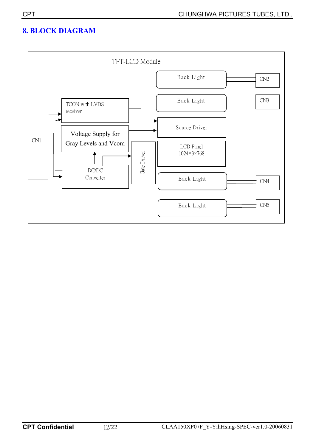### **8. BLOCK DIAGRAM**

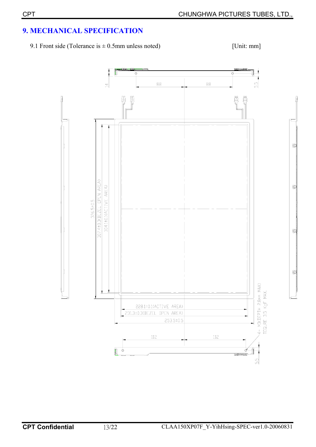### **9. MECHANICAL SPECIFICATION**

9.1 Front side (Tolerance is  $\pm$  0.5mm unless noted) [Unit: mm]

₫

₫

₫

₫

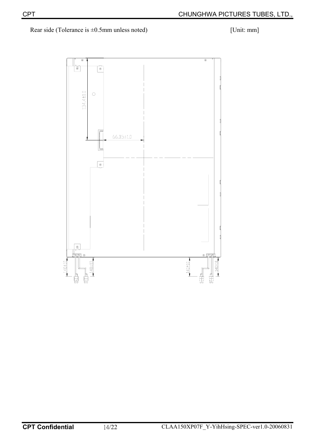Rear side (Tolerance is  $\pm 0.5$ mm unless noted) [Unit: mm]

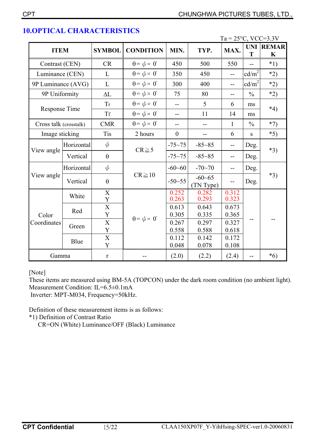|                        |                |                                                                                                                                                                                                                                         |                             |                |                          | $Ta = 25^{\circ}C$ , VCC=3.3V |                   |                                 |  |
|------------------------|----------------|-----------------------------------------------------------------------------------------------------------------------------------------------------------------------------------------------------------------------------------------|-----------------------------|----------------|--------------------------|-------------------------------|-------------------|---------------------------------|--|
| <b>ITEM</b>            |                | <b>SYMBOL</b>                                                                                                                                                                                                                           | <b>CONDITION</b>            | MIN.           | TYP.                     | MAX.                          | T                 | <b>UNI REMAR</b><br>$\mathbf K$ |  |
| Contrast (CEN)         |                | CR                                                                                                                                                                                                                                      | $\theta = \phi = 0^{\circ}$ | 450            | 500                      | 550                           | $-$               | $*1)$                           |  |
| Luminance (CEN)        |                | $\mathbf{L}$                                                                                                                                                                                                                            | $\theta = \phi = 0^{\circ}$ | 350            | 450                      | $\overline{a}$                | cd/m <sup>2</sup> | $*2)$                           |  |
| 9P Luminance (AVG)     |                | $\mathbf{L}$                                                                                                                                                                                                                            | $\theta = \phi = 0^{\circ}$ | 300            | 400                      | $-$                           | cd/m <sup>2</sup> | $*2)$                           |  |
| 9P Uniformity          |                | $\Delta L$                                                                                                                                                                                                                              | $\theta = \phi = 0^{\circ}$ | 75             | 80                       | $-$                           | $\frac{0}{0}$     | $*2)$                           |  |
| Response Time          |                | <b>Tr</b>                                                                                                                                                                                                                               | $\theta = \phi = 0^{\circ}$ | $-$            | 5                        | 6                             | ms                | $*4)$                           |  |
|                        |                | $\operatorname{Tr}% \left\{ \mathcal{M}_{\mathbb{C}}\right\} =\operatorname{Tr}% \left\{ \mathcal{M}_{\mathbb{C}}\right\} =\operatorname{Tr}(\mathbb{C}^{2}% )=\operatorname{Tr}(\mathbb{C}^{2}% )=\operatorname{Tr}(\mathbb{C}^{2}% )$ | $\theta = \phi = 0^{\circ}$ | --             | 11                       | 14                            | ms                |                                 |  |
| Cross talk (crosstalk) |                | <b>CMR</b>                                                                                                                                                                                                                              | $\theta = \phi = 0^{\circ}$ | $-$            | $-$                      | $\mathbf{1}$                  | $\frac{0}{0}$     | $*7)$                           |  |
|                        | Image sticking |                                                                                                                                                                                                                                         | 2 hours                     | $\overline{0}$ | $\overline{\phantom{a}}$ | 6                             | ${\bf S}$         | $*5)$                           |  |
|                        | Horizontal     | $\phi$                                                                                                                                                                                                                                  | $CR \ge 5$                  | $-75 - 75$     | $-85 - 85$               | $\overline{\phantom{a}}$      | Deg.              | $*3)$                           |  |
| View angle             | Vertical       | $\theta$                                                                                                                                                                                                                                |                             | $-75 - 75$     | $-85 - 85$               | $-$                           | Deg.              |                                 |  |
|                        | Horizontal     | $\phi$                                                                                                                                                                                                                                  |                             | $-60 - 60$     | $-70 - 70$               | $-$                           | Deg.              |                                 |  |
| View angle             | Vertical       | $\theta$                                                                                                                                                                                                                                | $CR \ge 10$                 | $-50 - 55$     | $-60 - 65$<br>(TN Type)  |                               | Deg.              | $*3)$                           |  |
|                        | White          | $\mathbf X$<br>Y                                                                                                                                                                                                                        |                             | 0.252<br>0.263 | 0.282<br>0.293           | 0.312<br>0.323                |                   |                                 |  |
| Color<br>Coordinates   | Red            | $\overline{\mathbf{X}}$<br>Y                                                                                                                                                                                                            | $\theta = \phi = 0^{\circ}$ | 0.613<br>0.305 | 0.643<br>0.335           | 0.673<br>0.365                |                   |                                 |  |
|                        | Green          | $\overline{X}$<br>$\mathbf Y$                                                                                                                                                                                                           |                             | 0.267<br>0.558 | 0.297<br>0.588           | 0.327<br>0.618                |                   |                                 |  |
|                        | Blue           | $\overline{X}$<br>Y                                                                                                                                                                                                                     |                             | 0.112<br>0.048 | 0.142<br>0.078           | 0.172<br>0.108                |                   |                                 |  |
| Gamma                  |                | $\mathbf r$                                                                                                                                                                                                                             |                             | (2.0)          | (2.2)                    | (2.4)                         | $-$               | $*6)$                           |  |

### **10.OPTICAL CHARACTERISTICS**

[Note]

These items are measured using BM-5A (TOPCON) under the dark room condition (no ambient light). Measurement Condition: IL=6.5±0.1mA

Inverter: MPT-M034, Frequency=50kHz.

Definition of these measurement items is as follows:

\*1) Definition of Contrast Ratio

CR=ON (White) Luminance/OFF (Black) Luminance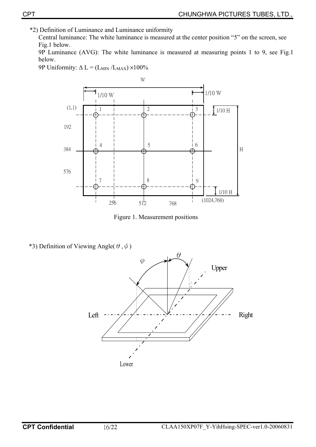\*2) Definition of Luminance and Luminance uniformity

Central luminance: The white luminance is measured at the center position "5" on the screen, see Fig.1 below.

9P Luminance (AVG): The white luminance is measured at measuring points 1 to 9, see Fig.1 below.

9P Uniformity:  $\Delta L = (L_{MIN}/L_{MAX}) \times 100\%$ 



Figure 1. Measurement positions

\*3) Definition of Viewing Angle( $\theta, \phi$ )

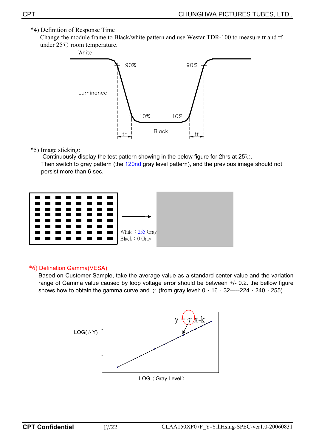### \*4) Definition of Response Time

 Change the module frame to Black/white pattern and use Westar TDR-100 to measure tr and tf under  $25^{\circ}$ C room temperature.



#### \*5) Image sticking:

Continuously display the test pattern showing in the below figure for 2hrs at  $25^{\circ}$ C. Then switch to gray pattern (the 120nd gray level pattern), and the previous image should not persist more than 6 sec.



#### \*6) Defination Gamma(VESA)

Based on Customer Sample, take the average value as a standard center value and the variation range of Gamma value caused by loop voltage error should be between +/- 0.2. the bellow figure shows how to obtain the gamma curve and  $\gamma$  (from gray level: 0  $\cdot$  16  $\cdot$  32-----224  $\cdot$  240  $\cdot$  255).

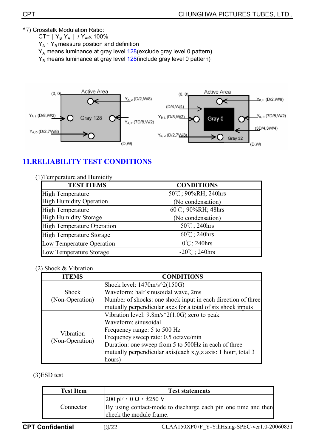\*7) Crosstalk Modulation Ratio:

CT=  $Y_B-Y_A$  /  $Y_{A} \times 100\%$  $Y_A \cdot Y_B$  measure position and definition Y<sub>A</sub> means luminance at gray level 128(exclude gray level 0 pattern)

 $Y_B$  means luminance at gray level  $128$ (include gray level 0 pattern)



### **11.RELIABILITY TEST CONDITIONS**

| (1) Temperature and Humidity      |                         |
|-----------------------------------|-------------------------|
| <b>TEST ITEMS</b>                 | <b>CONDITIONS</b>       |
| <b>High Temperature</b>           | 50°C; 90%RH; 240hrs     |
| <b>High Humidity Operation</b>    | (No condensation)       |
| <b>High Temperature</b>           | 60°C; 90%RH; 48hrs      |
| <b>High Humidity Storage</b>      | (No condensation)       |
| <b>High Temperature Operation</b> | 50°C; 240hrs            |
| <b>High Temperature Storage</b>   | $60^{\circ}$ C; 240hrs  |
| Low Temperature Operation         | $0^{\circ}$ C; 240hrs   |
| Low Temperature Storage           | $-20^{\circ}$ C; 240hrs |

#### (2) Shock & Vibration

| ITEMS           | <b>CONDITIONS</b>                                            |
|-----------------|--------------------------------------------------------------|
|                 | Shock level: $1470m/s^2(150G)$                               |
| <b>Shock</b>    | Waveform: half sinusoidal wave, 2ms                          |
| (Non-Operation) | Number of shocks: one shock input in each direction of three |
|                 | mutually perpendicular axes for a total of six shock inputs  |
|                 | Vibration level: $9.8m/s^2(1.0G)$ zero to peak               |
|                 | Waveform: sinusoidal                                         |
| Vibration       | Frequency range: 5 to 500 Hz                                 |
| (Non-Operation) | Frequency sweep rate: 0.5 octave/min                         |
|                 | Duration: one sweep from 5 to 500Hz in each of three         |
|                 | mutually perpendicular axis(each x,y,z axis: 1 hour, total 3 |
|                 | hours)                                                       |

(3)ESD test

| <b>Test Item</b> | <b>Test statements</b>                                                                                                                               |
|------------------|------------------------------------------------------------------------------------------------------------------------------------------------------|
| Connector        | $ 200 \text{ pF} \cdot 0 \Omega \cdot \pm 250 \text{ V}$<br>By using contact-mode to discharge each pin one time and then<br>check the module frame. |
|                  |                                                                                                                                                      |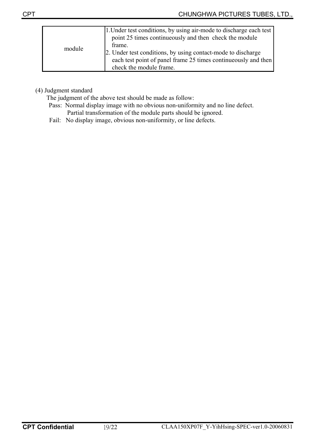|        | 1. Under test conditions, by using air-mode to discharge each test<br>point 25 times continuously and then check the module<br>frame.                     |
|--------|-----------------------------------------------------------------------------------------------------------------------------------------------------------|
| module | 2. Under test conditions, by using contact-mode to discharge<br>each test point of panel frame 25 times continueously and then<br>check the module frame. |

(4) Judgment standard

The judgment of the above test should be made as follow:

- Pass: Normal display image with no obvious non-uniformity and no line defect. Partial transformation of the module parts should be ignored.
- Fail: No display image, obvious non-uniformity, or line defects.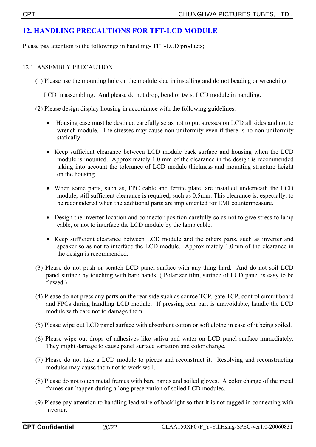### **12. HANDLING PRECAUTIONS FOR TFT-LCD MODULE**

Please pay attention to the followings in handling- TFT-LCD products;

#### 12.1ASSEMBLY PRECAUTION

(1) Please use the mounting hole on the module side in installing and do not beading or wrenching

LCD in assembling. And please do not drop, bend or twist LCD module in handling.

(2) Please design display housing in accordance with the following guidelines.

- Housing case must be destined carefully so as not to put stresses on LCD all sides and not to wrench module. The stresses may cause non-uniformity even if there is no non-uniformity statically.
- Keep sufficient clearance between LCD module back surface and housing when the LCD module is mounted. Approximately 1.0 mm of the clearance in the design is recommended taking into account the tolerance of LCD module thickness and mounting structure height on the housing.
- When some parts, such as, FPC cable and ferrite plate, are installed underneath the LCD module, still sufficient clearance is required, such as 0.5mm. This clearance is, especially, to be reconsidered when the additional parts are implemented for EMI countermeasure.
- Design the inverter location and connector position carefully so as not to give stress to lamp cable, or not to interface the LCD module by the lamp cable.
- Keep sufficient clearance between LCD module and the others parts, such as inverter and speaker so as not to interface the LCD module. Approximately 1.0mm of the clearance in the design is recommended.
- (3) Please do not push or scratch LCD panel surface with any-thing hard. And do not soil LCD panel surface by touching with bare hands. ( Polarizer film, surface of LCD panel is easy to be flawed.)
- (4) Please do not press any parts on the rear side such as source TCP, gate TCP, control circuit board and FPCs during handling LCD module. If pressing rear part is unavoidable, handle the LCD module with care not to damage them.
- (5) Please wipe out LCD panel surface with absorbent cotton or soft clothe in case of it being soiled.
- (6) Please wipe out drops of adhesives like saliva and water on LCD panel surface immediately. They might damage to cause panel surface variation and color change.
- (7) Please do not take a LCD module to pieces and reconstruct it. Resolving and reconstructing modules may cause them not to work well.
- (8) Please do not touch metal frames with bare hands and soiled gloves. A color change of the metal frames can happen during a long preservation of soiled LCD modules.
- (9) Please pay attention to handling lead wire of backlight so that it is not tugged in connecting with inverter.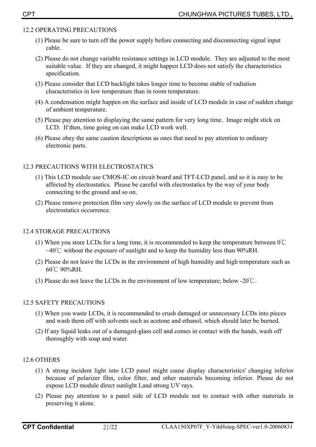#### 12.2 OPERATING PRECAUTIONS

- (1) Please be sure to turn off the power supply before connecting and disconnecting signal input cable.
- (2) Please do not change variable resistance settings in LCD module. They are adjusted to the most suitable value. If they are changed, it might happen LCD does not satisfy the characteristics specification.
- (3) Please consider that LCD backlight takes longer time to become stable of radiation characteristics in low temperature than in room temperature.
- (4) A condensation might happen on the surface and inside of LCD module in case of sudden change of ambient temperature.
- (5) Please pay attention to displaying the same pattern for very long time. Image might stick on LCD. If then, time going on can make LCD work well.
- (6) Please obey the same caution descriptions as ones that need to pay attention to ordinary electronic parts.

### 12.3 PRECAUTIONS WITH ELECTROSTATICS

- (1) This LCD module use CMOS-IC on circuit board and TFT-LCD panel, and so it is easy to be affected by electrostatics. Please be careful with electrostatics by the way of your body connecting to the ground and so on.
- (2) Please remove protection film very slowly on the surface of LCD module to prevent from electrostatics occurrence.

### 12.4 STORAGE PRECAUTIONS

- (1) When you store LCDs for a long time, it is recommended to keep the temperature between  $0^{\circ}$ C  $\sim$ 40°C without the exposure of sunlight and to keep the humidity less than 90%RH.
- (2) Please do not leave the LCDs in the environment of high humidity and high temperature such as  $60^{\circ}$ C 90%RH.
- (3) Please do not leave the LCDs in the environment of low temperature; below -20 $\degree$ C.

### 12.5 SAFETY PRECAUTIONS

- (1) When you waste LCDs, it is recommended to crush damaged or unnecessary LCDs into pieces and wash them off with solvents such as acetone and ethanol, which should later be burned.
- (2) If any liquid leaks out of a damaged-glass cell and comes in contact with the hands, wash off thoroughly with soap and water.

### 12.6 OTHERS

- (1) A strong incident light into LCD panel might cause display characteristics' changing inferior because of polarizer film, color filter, and other materials becoming inferior. Please do not expose LCD module direct sunlight Land strong UV rays.
- (2) Please pay attention to a panel side of LCD module not to contact with other materials in preserving it alone.